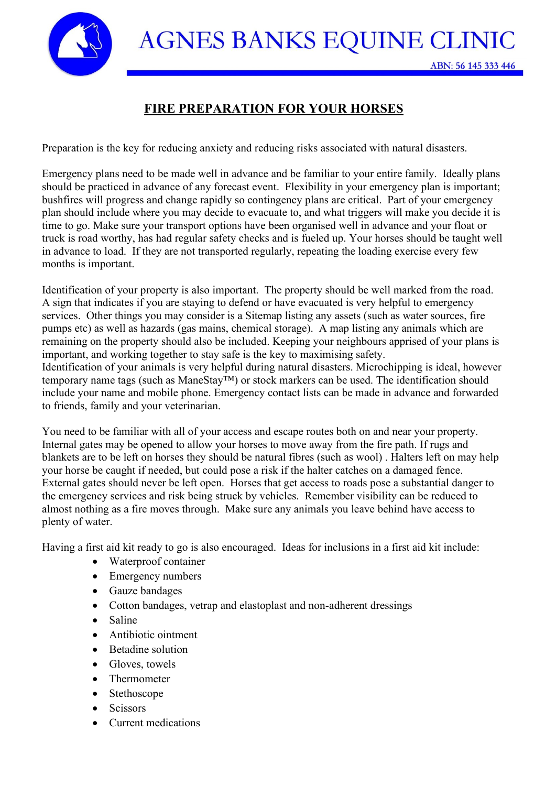**AGNES BANKS EQUINE CLINIC** 

## **FIRE PREPARATION FOR YOUR HORSES**

Preparation is the key for reducing anxiety and reducing risks associated with natural disasters.

Emergency plans need to be made well in advance and be familiar to your entire family. Ideally plans should be practiced in advance of any forecast event. Flexibility in your emergency plan is important; bushfires will progress and change rapidly so contingency plans are critical. Part of your emergency plan should include where you may decide to evacuate to, and what triggers will make you decide it is time to go. Make sure your transport options have been organised well in advance and your float or truck is road worthy, has had regular safety checks and is fueled up. Your horses should be taught well in advance to load. If they are not transported regularly, repeating the loading exercise every few months is important.

Identification of your property is also important. The property should be well marked from the road. A sign that indicates if you are staying to defend or have evacuated is very helpful to emergency services. Other things you may consider is a Sitemap listing any assets (such as water sources, fire pumps etc) as well as hazards (gas mains, chemical storage). A map listing any animals which are remaining on the property should also be included. Keeping your neighbours apprised of your plans is important, and working together to stay safe is the key to maximising safety.

Identification of your animals is very helpful during natural disasters. Microchipping is ideal, however temporary name tags (such as ManeStay™) or stock markers can be used. The identification should include your name and mobile phone. Emergency contact lists can be made in advance and forwarded to friends, family and your veterinarian.

You need to be familiar with all of your access and escape routes both on and near your property. Internal gates may be opened to allow your horses to move away from the fire path. If rugs and blankets are to be left on horses they should be natural fibres (such as wool) . Halters left on may help your horse be caught if needed, but could pose a risk if the halter catches on a damaged fence. External gates should never be left open. Horses that get access to roads pose a substantial danger to the emergency services and risk being struck by vehicles. Remember visibility can be reduced to almost nothing as a fire moves through. Make sure any animals you leave behind have access to plenty of water.

Having a first aid kit ready to go is also encouraged. Ideas for inclusions in a first aid kit include:

- Waterproof container
- Emergency numbers
- Gauze bandages
- Cotton bandages, vetrap and elastoplast and non-adherent dressings
- Saline
- Antibiotic ointment
- Betadine solution
- Gloves, towels
- **Thermometer**
- **Stethoscope**
- **Scissors**
- Current medications